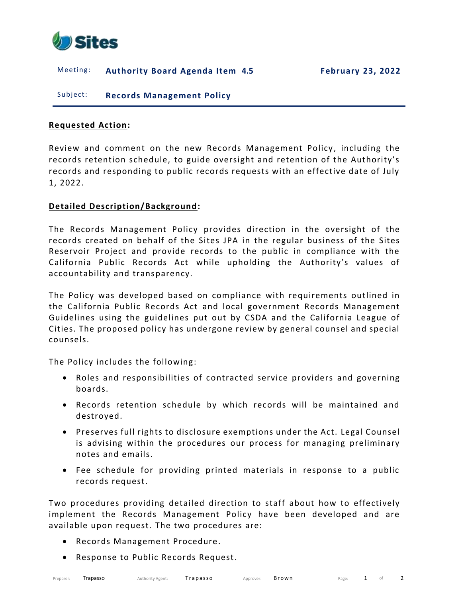

## Meeting: **Authority Board Agenda Item 4.5 February 23, 2022**

Subject: **Records Management Policy**

## **Requested Action:**

Review and comment on the new Records Management Policy , including the records retention schedule, to guide oversight and retention of the Authority's records and responding to public records requests with an effective date of July 1, 2022.

## **Detailed Description/Background:**

The Records Management Policy provides direction in the oversight of the records created on behalf of the Sites JPA in the regular business of the Sites Reservoir Project and provide records to the public in compliance with the California Public Records Act while upholding the Authority's values of accountability and transparency.

The Policy was developed based on compliance with requirements outlined in the California Public Records Act and local government Records Management Guidelines using the guidelines put out by CSDA and the California League of Cities. The proposed policy has undergone review by general counsel and special counsels.

The Policy includes the following:

- Roles and responsibilities of contracted service providers and governing boards.
- Records retention schedule by which records will be maintained and destroyed.
- Preserves full rights to disclosure exemptions under the Act. Legal Counsel is advising within the procedures our process for managing preliminary notes and emails.
- Fee schedule for providing printed materials in response to a public records request.

Two procedures providing detailed direction to staff about how to effectively implement the Records Management Policy have been developed and are available upon request. The two procedures are:

- Records Management Procedure.
- Response to Public Records Request.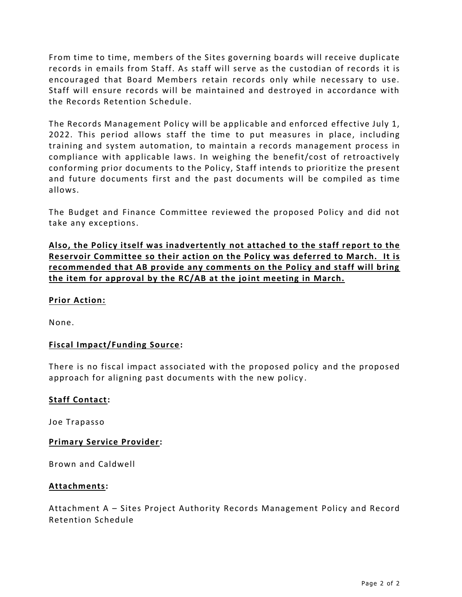From time to time, members of the Sites governing boards will receive duplicate records in emails from Staff. As staff will serve as the custodian of records it is encouraged that Board Members retain records only while necessary to use. Staff will ensure records will be maintained and destroyed in accordance with the Records Retention Schedule.

The Records Management Policy will be applicable and enforced effective July 1, 2022. This period allows staff the time to put measures in place, including training and system automation, to maintain a records management process in compliance with applicable laws. In weighing the benefit/cost of retroactively conforming prior documents to the Policy, Staff intends to prioritize the present and future documents first and the past documents will be compiled as time allows.

The Budget and Finance Committee reviewed the proposed Policy and did not take any exceptions.

**Also, the Policy itself was inadvertently not attached to the staff report to the Reservoir Committee so their action on the Policy was deferred to March. It is recommended that AB provide any comments on the Policy and staff will bring the item for approval by the RC/AB at the joint meeting in March.**

# **Prior Action:**

None.

# **Fiscal Impact/Funding Source:**

There is no fiscal impact associated with the proposed policy and the proposed approach for aligning past documents with the new policy .

## **Staff Contact:**

Joe Trapasso

## **Primary Service Provider:**

Brown and Caldwell

### **Attachments:**

Attachment A – Sites Project Authority Records Management Policy and Record Retention Schedule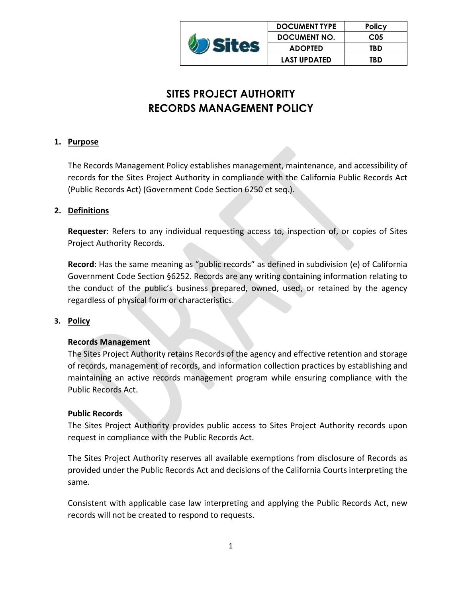|  | <b>DOCUMENT TYPE</b> | <b>Policy</b>   |
|--|----------------------|-----------------|
|  | <b>DOCUMENT NO.</b>  | C <sub>05</sub> |
|  | <b>ADOPTED</b>       | TBD             |
|  | <b>LAST UPDATED</b>  | TBD             |

# **SITES PROJECT AUTHORITY RECORDS MANAGEMENT POLICY**

# **1. Purpose**

The Records Management Policy establishes management, maintenance, and accessibility of records for the Sites Project Authority in compliance with the California Public Records Act (Public Records Act) (Government Code Section 6250 et seq.).

# **2. Definitions**

**Requester**: Refers to any individual requesting access to, inspection of, or copies of Sites Project Authority Records.

**Record**: Has the same meaning as "public records" as defined in subdivision (e) of California Government Code Section §6252. Records are any writing containing information relating to the conduct of the public's business prepared, owned, used, or retained by the agency regardless of physical form or characteristics.

# **3. Policy**

# **Records Management**

The Sites Project Authority retains Records of the agency and effective retention and storage of records, management of records, and information collection practices by establishing and maintaining an active records management program while ensuring compliance with the Public Records Act.

# **Public Records**

The Sites Project Authority provides public access to Sites Project Authority records upon request in compliance with the Public Records Act.

The Sites Project Authority reserves all available exemptions from disclosure of Records as provided under the Public Records Act and decisions of the California Courts interpreting the same.

Consistent with applicable case law interpreting and applying the Public Records Act, new records will not be created to respond to requests.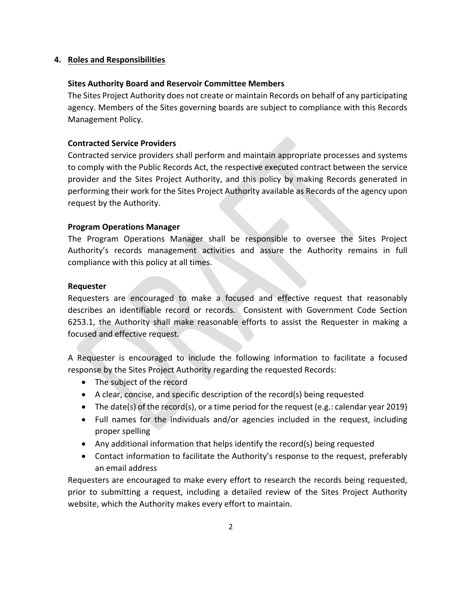## **4. Roles and Responsibilities**

## **Sites Authority Board and Reservoir Committee Members**

The Sites Project Authority does not create or maintain Records on behalf of any participating agency. Members of the Sites governing boards are subject to compliance with this Records Management Policy.

## **Contracted Service Providers**

Contracted service providers shall perform and maintain appropriate processes and systems to comply with the Public Records Act, the respective executed contract between the service provider and the Sites Project Authority, and this policy by making Records generated in performing their work for the Sites Project Authority available as Records of the agency upon request by the Authority.

### **Program Operations Manager**

The Program Operations Manager shall be responsible to oversee the Sites Project Authority's records management activities and assure the Authority remains in full compliance with this policy at all times.

## **Requester**

Requesters are encouraged to make a focused and effective request that reasonably describes an identifiable record or records. Consistent with Government Code Section 6253.1, the Authority shall make reasonable efforts to assist the Requester in making a focused and effective request.

A Requester is encouraged to include the following information to facilitate a focused response by the Sites Project Authority regarding the requested Records:

- The subject of the record
- A clear, concise, and specific description of the record(s) being requested
- The date(s) of the record(s), or a time period for the request (e.g.: calendar year 2019)
- Full names for the individuals and/or agencies included in the request, including proper spelling
- Any additional information that helps identify the record(s) being requested
- Contact information to facilitate the Authority's response to the request, preferably an email address

Requesters are encouraged to make every effort to research the records being requested, prior to submitting a request, including a detailed review of the Sites Project Authority website, which the Authority makes every effort to maintain.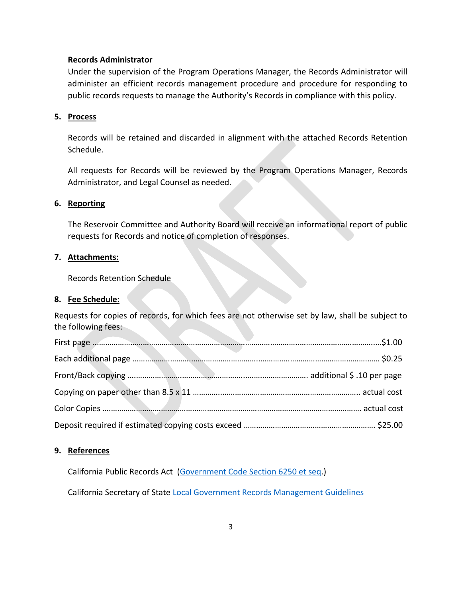#### **Records Administrator**

Under the supervision of the Program Operations Manager, the Records Administrator will administer an efficient records management procedure and procedure for responding to public records requests to manage the Authority's Records in compliance with this policy.

#### **5. Process**

Records will be retained and discarded in alignment with the attached Records Retention Schedule.

All requests for Records will be reviewed by the Program Operations Manager, Records Administrator, and Legal Counsel as needed.

## **6. Reporting**

The Reservoir Committee and Authority Board will receive an informational report of public requests for Records and notice of completion of responses.

## **7. Attachments:**

Records Retention Schedule

#### **8. Fee Schedule:**

Requests for copies of records, for which fees are not otherwise set by law, shall be subject to the following fees:

### **9. References**

California Public Records Act [\(Government Code Section 6250 et seq.](https://leginfo.legislature.ca.gov/faces/codes_displayexpandedbranch.xhtml?tocCode=GOV&division=7.&title=1.&part=&chapter=3.5.&article=))

California Secretary of State [Local Government Records Management Guidelines](https://archives.cdn.sos.ca.gov/local-gov-program/pdf/records-management-8.pdf)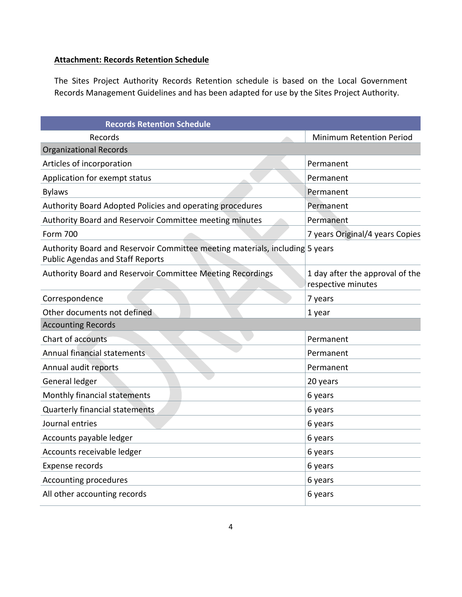# **Attachment: Records Retention Schedule**

The Sites Project Authority Records Retention schedule is based on the Local Government Records Management Guidelines and has been adapted for use by the Sites Project Authority.

| <b>Records Retention Schedule</b>                                                                                       |                                                       |
|-------------------------------------------------------------------------------------------------------------------------|-------------------------------------------------------|
| Records                                                                                                                 | <b>Minimum Retention Period</b>                       |
| <b>Organizational Records</b>                                                                                           |                                                       |
| Articles of incorporation                                                                                               | Permanent                                             |
| Application for exempt status                                                                                           | Permanent                                             |
| <b>Bylaws</b>                                                                                                           | Permanent                                             |
| Authority Board Adopted Policies and operating procedures                                                               | Permanent                                             |
| Authority Board and Reservoir Committee meeting minutes                                                                 | Permanent                                             |
| <b>Form 700</b>                                                                                                         | 7 years Original/4 years Copies                       |
| Authority Board and Reservoir Committee meeting materials, including 5 years<br><b>Public Agendas and Staff Reports</b> |                                                       |
| Authority Board and Reservoir Committee Meeting Recordings                                                              | 1 day after the approval of the<br>respective minutes |
| Correspondence                                                                                                          | 7 years                                               |
| Other documents not defined                                                                                             | 1 year                                                |
| <b>Accounting Records</b>                                                                                               |                                                       |
| Chart of accounts                                                                                                       | Permanent                                             |
| Annual financial statements                                                                                             | Permanent                                             |
| Annual audit reports                                                                                                    | Permanent                                             |
| General ledger                                                                                                          | 20 years                                              |
| Monthly financial statements                                                                                            | 6 years                                               |
| Quarterly financial statements                                                                                          | 6 years                                               |
| Journal entries                                                                                                         | 6 years                                               |
| Accounts payable ledger                                                                                                 | 6 years                                               |
| Accounts receivable ledger                                                                                              | 6 years                                               |
| Expense records                                                                                                         | 6 years                                               |
| Accounting procedures                                                                                                   | 6 years                                               |
| All other accounting records                                                                                            | 6 years                                               |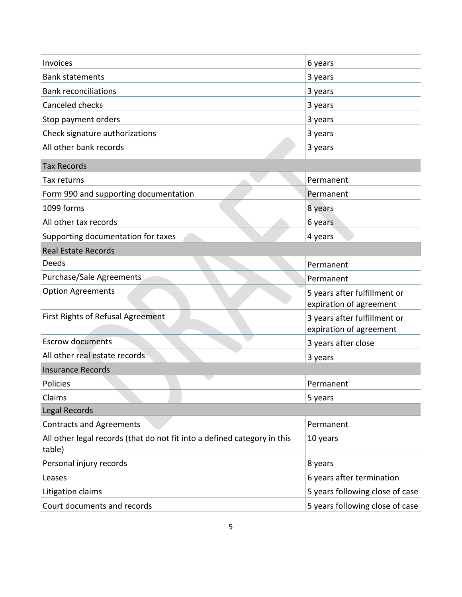| Invoices                                                                           | 6 years                                                 |
|------------------------------------------------------------------------------------|---------------------------------------------------------|
| <b>Bank statements</b>                                                             | 3 years                                                 |
| <b>Bank reconciliations</b>                                                        | 3 years                                                 |
| Canceled checks                                                                    | 3 years                                                 |
| Stop payment orders                                                                | 3 years                                                 |
| Check signature authorizations                                                     | 3 years                                                 |
| All other bank records                                                             | 3 years                                                 |
| <b>Tax Records</b>                                                                 |                                                         |
| Tax returns                                                                        | Permanent                                               |
| Form 990 and supporting documentation                                              | Permanent                                               |
| 1099 forms                                                                         | 8 years                                                 |
| All other tax records                                                              | 6 years                                                 |
| Supporting documentation for taxes                                                 | 4 years                                                 |
| <b>Real Estate Records</b>                                                         |                                                         |
| Deeds                                                                              | Permanent                                               |
| Purchase/Sale Agreements                                                           | Permanent                                               |
| <b>Option Agreements</b>                                                           | 5 years after fulfillment or<br>expiration of agreement |
| First Rights of Refusal Agreement                                                  | 3 years after fulfillment or<br>expiration of agreement |
| <b>Escrow documents</b>                                                            | 3 years after close                                     |
| All other real estate records                                                      | 3 years                                                 |
| <b>Insurance Records</b>                                                           |                                                         |
| Policies                                                                           | Permanent                                               |
| Claims                                                                             | 5 years                                                 |
| Legal Records                                                                      |                                                         |
| <b>Contracts and Agreements</b>                                                    | Permanent                                               |
| All other legal records (that do not fit into a defined category in this<br>table) | 10 years                                                |
| Personal injury records                                                            | 8 years                                                 |
| Leases                                                                             | 6 years after termination                               |
| Litigation claims                                                                  | 5 years following close of case                         |
| Court documents and records                                                        | 5 years following close of case                         |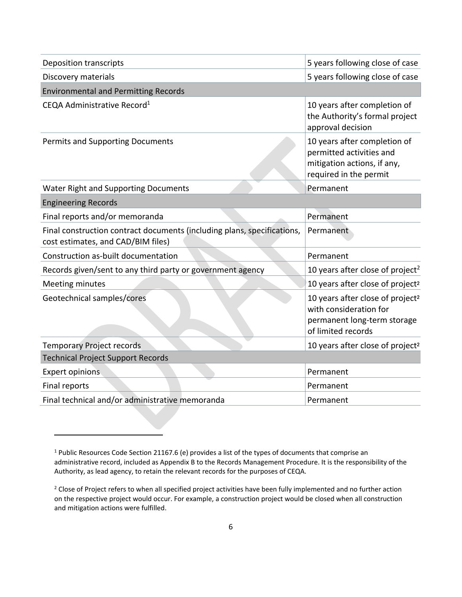| <b>Deposition transcripts</b>                                                                                 | 5 years following close of case                                                                                             |
|---------------------------------------------------------------------------------------------------------------|-----------------------------------------------------------------------------------------------------------------------------|
| Discovery materials                                                                                           | 5 years following close of case                                                                                             |
| <b>Environmental and Permitting Records</b>                                                                   |                                                                                                                             |
| CEQA Administrative Record <sup>1</sup>                                                                       | 10 years after completion of<br>the Authority's formal project<br>approval decision                                         |
| <b>Permits and Supporting Documents</b>                                                                       | 10 years after completion of<br>permitted activities and<br>mitigation actions, if any,<br>required in the permit           |
| <b>Water Right and Supporting Documents</b>                                                                   | Permanent                                                                                                                   |
| <b>Engineering Records</b>                                                                                    |                                                                                                                             |
| Final reports and/or memoranda                                                                                | Permanent                                                                                                                   |
| Final construction contract documents (including plans, specifications,<br>cost estimates, and CAD/BIM files) | Permanent                                                                                                                   |
| Construction as-built documentation                                                                           | Permanent                                                                                                                   |
| Records given/sent to any third party or government agency                                                    | 10 years after close of project <sup>2</sup>                                                                                |
| <b>Meeting minutes</b>                                                                                        | 10 years after close of project <sup>2</sup>                                                                                |
| Geotechnical samples/cores                                                                                    | 10 years after close of project <sup>2</sup><br>with consideration for<br>permanent long-term storage<br>of limited records |
| <b>Temporary Project records</b>                                                                              | 10 years after close of project <sup>2</sup>                                                                                |
| <b>Technical Project Support Records</b>                                                                      |                                                                                                                             |
| <b>Expert opinions</b>                                                                                        | Permanent                                                                                                                   |
| Final reports                                                                                                 | Permanent                                                                                                                   |
| Final technical and/or administrative memoranda                                                               | Permanent                                                                                                                   |

<sup>1</sup> Public Resources Code Section 21167.6 (e) provides a list of the types of documents that comprise an administrative record, included as Appendix B to the Records Management Procedure. It is the responsibility of the Authority, as lead agency, to retain the relevant records for the purposes of CEQA.

<sup>&</sup>lt;sup>2</sup> Close of Project refers to when all specified project activities have been fully implemented and no further action on the respective project would occur. For example, a construction project would be closed when all construction and mitigation actions were fulfilled.